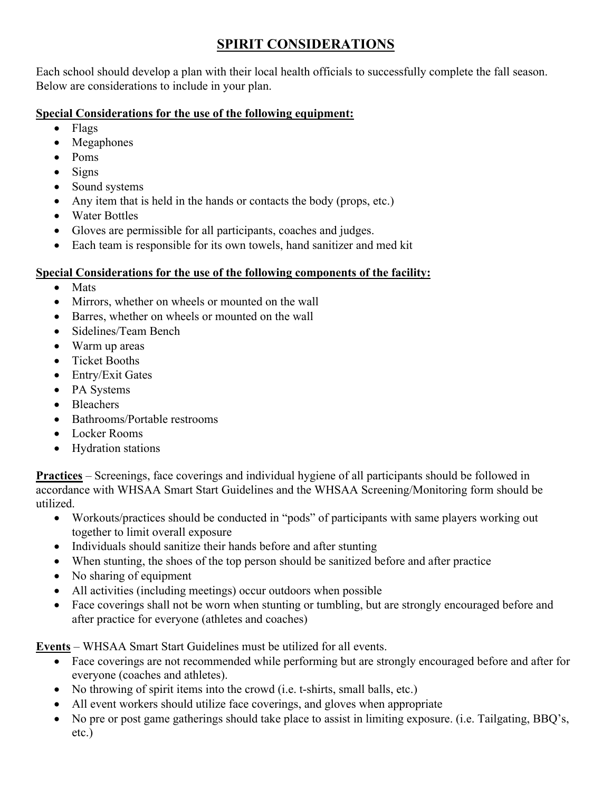# **SPIRIT CONSIDERATIONS**

Each school should develop a plan with their local health officials to successfully complete the fall season. Below are considerations to include in your plan.

# **Special Considerations for the use of the following equipment:**

- Flags
- Megaphones
- Poms
- Signs
- Sound systems
- Any item that is held in the hands or contacts the body (props, etc.)
- Water Bottles
- Gloves are permissible for all participants, coaches and judges.
- Each team is responsible for its own towels, hand sanitizer and med kit

## **Special Considerations for the use of the following components of the facility:**

- Mats
- Mirrors, whether on wheels or mounted on the wall
- Barres, whether on wheels or mounted on the wall
- Sidelines/Team Bench
- Warm up areas
- Ticket Booths
- Entry/Exit Gates
- PA Systems
- Bleachers
- Bathrooms/Portable restrooms
- Locker Rooms
- Hydration stations

**Practices** – Screenings, face coverings and individual hygiene of all participants should be followed in accordance with WHSAA Smart Start Guidelines and the WHSAA Screening/Monitoring form should be utilized.

- Workouts/practices should be conducted in "pods" of participants with same players working out together to limit overall exposure
- Individuals should sanitize their hands before and after stunting
- When stunting, the shoes of the top person should be sanitized before and after practice
- No sharing of equipment
- All activities (including meetings) occur outdoors when possible
- Face coverings shall not be worn when stunting or tumbling, but are strongly encouraged before and after practice for everyone (athletes and coaches)

**Events** – WHSAA Smart Start Guidelines must be utilized for all events.

- Face coverings are not recommended while performing but are strongly encouraged before and after for everyone (coaches and athletes).
- No throwing of spirit items into the crowd (i.e. t-shirts, small balls, etc.)
- All event workers should utilize face coverings, and gloves when appropriate
- No pre or post game gatherings should take place to assist in limiting exposure. (i.e. Tailgating, BBQ's, etc.)